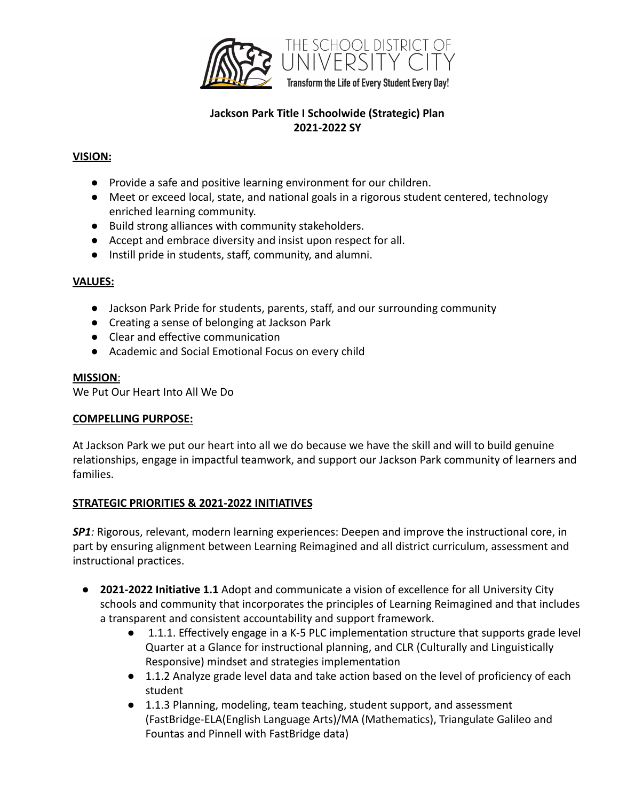

# **Jackson Park Title I Schoolwide (Strategic) Plan 2021-2022 SY**

### **VISION:**

- Provide a safe and positive learning environment for our children.
- Meet or exceed local, state, and national goals in a rigorous student centered, technology enriched learning community.
- Build strong alliances with community stakeholders.
- Accept and embrace diversity and insist upon respect for all.
- Instill pride in students, staff, community, and alumni.

### **VALUES:**

- Jackson Park Pride for students, parents, staff, and our surrounding community
- Creating a sense of belonging at Jackson Park
- Clear and effective communication
- Academic and Social Emotional Focus on every child

### **MISSION**:

We Put Our Heart Into All We Do

#### **COMPELLING PURPOSE:**

At Jackson Park we put our heart into all we do because we have the skill and will to build genuine relationships, engage in impactful teamwork, and support our Jackson Park community of learners and families.

### **STRATEGIC PRIORITIES & 2021-2022 INITIATIVES**

*SP1:* Rigorous, relevant, modern learning experiences: Deepen and improve the instructional core, in part by ensuring alignment between Learning Reimagined and all district curriculum, assessment and instructional practices.

- **2021-2022 Initiative 1.1** Adopt and communicate a vision of excellence for all University City schools and community that incorporates the principles of Learning Reimagined and that includes a transparent and consistent accountability and support framework.
	- 1.1.1. Effectively engage in a K-5 PLC implementation structure that supports grade level Quarter at a Glance for instructional planning, and CLR (Culturally and Linguistically Responsive) mindset and strategies implementation
	- 1.1.2 Analyze grade level data and take action based on the level of proficiency of each student
	- 1.1.3 Planning, modeling, team teaching, student support, and assessment (FastBridge-ELA(English Language Arts)/MA (Mathematics), Triangulate Galileo and Fountas and Pinnell with FastBridge data)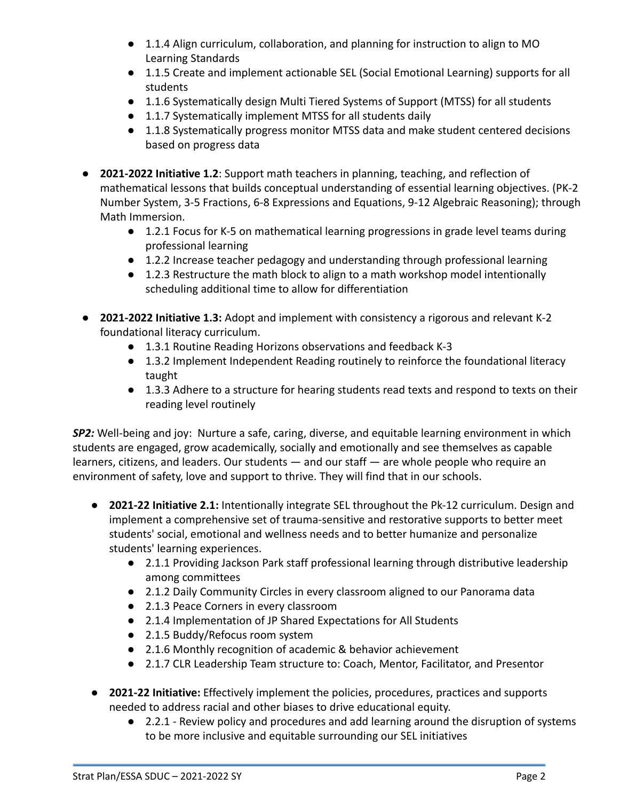- 1.1.4 Align curriculum, collaboration, and planning for instruction to align to MO Learning Standards
- 1.1.5 Create and implement actionable SEL (Social Emotional Learning) supports for all students
- 1.1.6 Systematically design Multi Tiered Systems of Support (MTSS) for all students
- 1.1.7 Systematically implement MTSS for all students daily
- 1.1.8 Systematically progress monitor MTSS data and make student centered decisions based on progress data
- **2021-2022 Initiative 1.2**: Support math teachers in planning, teaching, and reflection of mathematical lessons that builds conceptual understanding of essential learning objectives. (PK-2 Number System, 3-5 Fractions, 6-8 Expressions and Equations, 9-12 Algebraic Reasoning); through Math Immersion.
	- 1.2.1 Focus for K-5 on mathematical learning progressions in grade level teams during professional learning
	- 1.2.2 Increase teacher pedagogy and understanding through professional learning
	- 1.2.3 Restructure the math block to align to a math workshop model intentionally scheduling additional time to allow for differentiation
- **2021-2022 Initiative 1.3:** Adopt and implement with consistency a rigorous and relevant K-2 foundational literacy curriculum.
	- 1.3.1 Routine Reading Horizons observations and feedback K-3
	- 1.3.2 Implement Independent Reading routinely to reinforce the foundational literacy taught
	- 1.3.3 Adhere to a structure for hearing students read texts and respond to texts on their reading level routinely

*SP2:* Well-being and joy: Nurture a safe, caring, diverse, and equitable learning environment in which students are engaged, grow academically, socially and emotionally and see themselves as capable learners, citizens, and leaders. Our students — and our staff — are whole people who require an environment of safety, love and support to thrive. They will find that in our schools.

- **2021-22 Initiative 2.1:** Intentionally integrate SEL throughout the Pk-12 curriculum. Design and implement a comprehensive set of trauma-sensitive and restorative supports to better meet students' social, emotional and wellness needs and to better humanize and personalize students' learning experiences.
	- 2.1.1 Providing Jackson Park staff professional learning through distributive leadership among committees
	- 2.1.2 Daily Community Circles in every classroom aligned to our Panorama data
	- 2.1.3 Peace Corners in every classroom
	- 2.1.4 Implementation of JP Shared Expectations for All Students
	- 2.1.5 Buddy/Refocus room system
	- 2.1.6 Monthly recognition of academic & behavior achievement
	- 2.1.7 CLR Leadership Team structure to: Coach, Mentor, Facilitator, and Presentor
- **2021-22 Initiative:** Effectively implement the policies, procedures, practices and supports needed to address racial and other biases to drive educational equity.
	- 2.2.1 Review policy and procedures and add learning around the disruption of systems to be more inclusive and equitable surrounding our SEL initiatives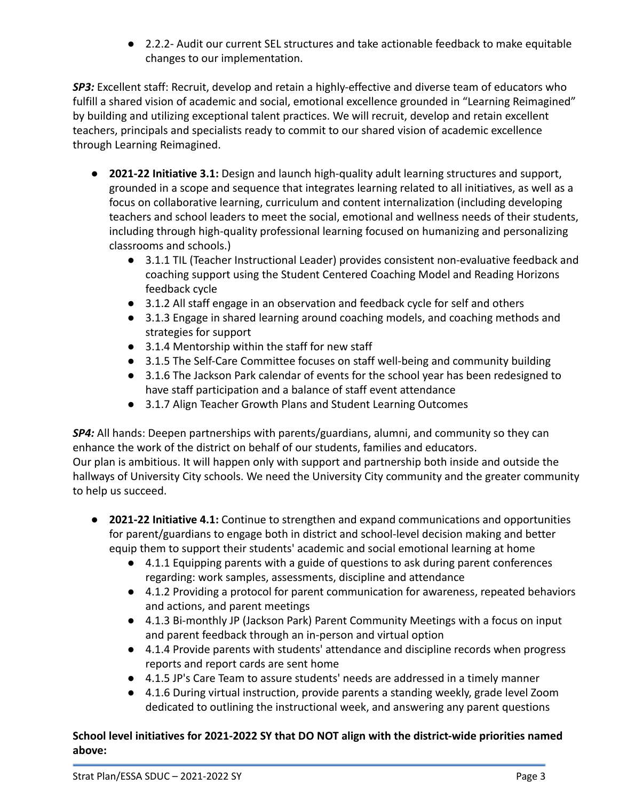● 2.2.2- Audit our current SEL structures and take actionable feedback to make equitable changes to our implementation.

*SP3:* Excellent staff: Recruit, develop and retain a highly-effective and diverse team of educators who fulfill a shared vision of academic and social, emotional excellence grounded in "Learning Reimagined" by building and utilizing exceptional talent practices. We will recruit, develop and retain excellent teachers, principals and specialists ready to commit to our shared vision of academic excellence through Learning Reimagined.

- **2021-22 Initiative 3.1:** Design and launch high-quality adult learning structures and support, grounded in a scope and sequence that integrates learning related to all initiatives, as well as a focus on collaborative learning, curriculum and content internalization (including developing teachers and school leaders to meet the social, emotional and wellness needs of their students, including through high-quality professional learning focused on humanizing and personalizing classrooms and schools.)
	- 3.1.1 TIL (Teacher Instructional Leader) provides consistent non-evaluative feedback and coaching support using the Student Centered Coaching Model and Reading Horizons feedback cycle
	- 3.1.2 All staff engage in an observation and feedback cycle for self and others
	- 3.1.3 Engage in shared learning around coaching models, and coaching methods and strategies for support
	- 3.1.4 Mentorship within the staff for new staff
	- 3.1.5 The Self-Care Committee focuses on staff well-being and community building
	- 3.1.6 The Jackson Park calendar of events for the school year has been redesigned to have staff participation and a balance of staff event attendance
	- 3.1.7 Align Teacher Growth Plans and Student Learning Outcomes

*SP4:* All hands: Deepen partnerships with parents/guardians, alumni, and community so they can enhance the work of the district on behalf of our students, families and educators. Our plan is ambitious. It will happen only with support and partnership both inside and outside the hallways of University City schools. We need the University City community and the greater community to help us succeed.

- **2021-22 Initiative 4.1:** Continue to strengthen and expand communications and opportunities for parent/guardians to engage both in district and school-level decision making and better equip them to support their students' academic and social emotional learning at home
	- 4.1.1 Equipping parents with a guide of questions to ask during parent conferences regarding: work samples, assessments, discipline and attendance
	- 4.1.2 Providing a protocol for parent communication for awareness, repeated behaviors and actions, and parent meetings
	- 4.1.3 Bi-monthly JP (Jackson Park) Parent Community Meetings with a focus on input and parent feedback through an in-person and virtual option
	- 4.1.4 Provide parents with students' attendance and discipline records when progress reports and report cards are sent home
	- 4.1.5 JP's Care Team to assure students' needs are addressed in a timely manner
	- 4.1.6 During virtual instruction, provide parents a standing weekly, grade level Zoom dedicated to outlining the instructional week, and answering any parent questions

## **School level initiatives for 2021-2022 SY that DO NOT align with the district-wide priorities named above:**